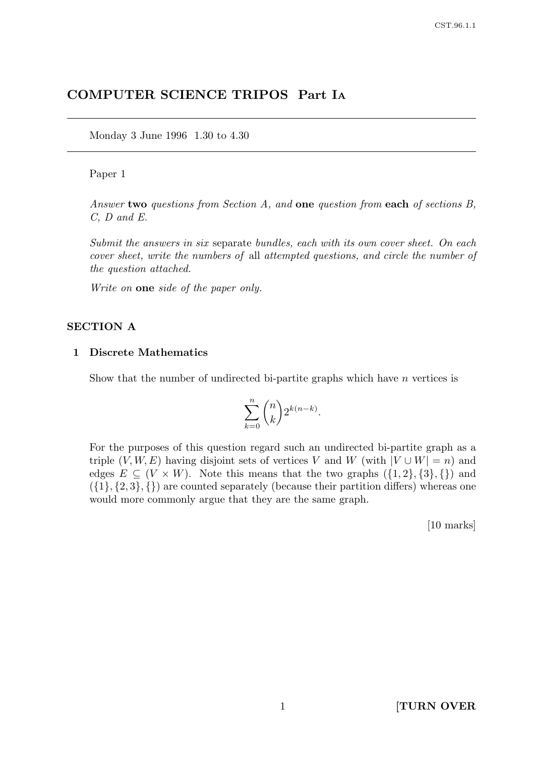# COMPUTER SCIENCE TRIPOS Part I<sup>A</sup>

Monday 3 June 1996 1.30 to 4.30

#### Paper 1

Answer two questions from Section A, and one question from each of sections B, C, D and E.

Submit the answers in six separate bundles, each with its own cover sheet. On each cover sheet, write the numbers of all attempted questions, and circle the number of the question attached.

Write on **one** side of the paper only.

#### SECTION A

#### 1 Discrete Mathematics

Show that the number of undirected bi-partite graphs which have  $n$  vertices is

$$
\sum_{k=0}^n \binom{n}{k} 2^{k(n-k)}.
$$

For the purposes of this question regard such an undirected bi-partite graph as a triple  $(V, W, E)$  having disjoint sets of vertices V and W (with  $|V \cup W| = n$ ) and edges  $E \subseteq (V \times W)$ . Note this means that the two graphs  $({1, 2}, {3}, {})$  and  $({1}, {2}, 3, \{\})$  are counted separately (because their partition differs) whereas one would more commonly argue that they are the same graph.

[10 marks]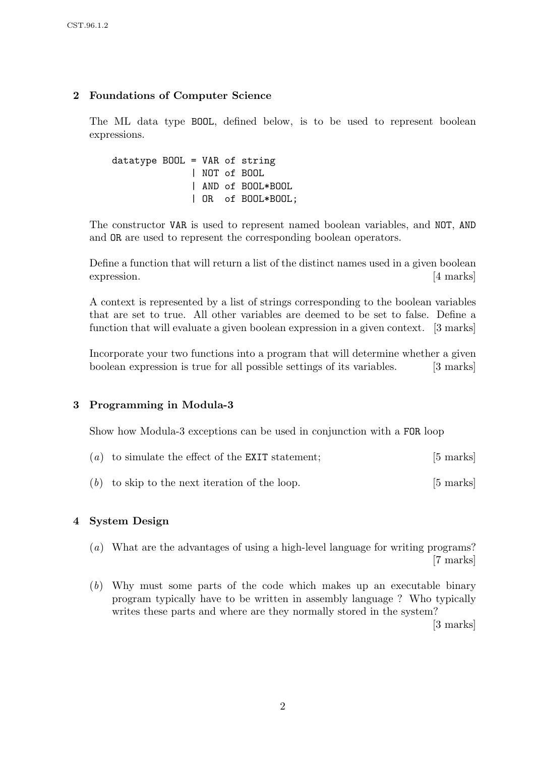# 2 Foundations of Computer Science

The ML data type BOOL, defined below, is to be used to represent boolean expressions.

datatype BOOL = VAR of string | NOT of BOOL | AND of BOOL\*BOOL | OR of BOOL\*BOOL;

The constructor VAR is used to represent named boolean variables, and NOT, AND and OR are used to represent the corresponding boolean operators.

Define a function that will return a list of the distinct names used in a given boolean expression. [4 marks]

A context is represented by a list of strings corresponding to the boolean variables that are set to true. All other variables are deemed to be set to false. Define a function that will evaluate a given boolean expression in a given context. [3 marks]

Incorporate your two functions into a program that will determine whether a given boolean expression is true for all possible settings of its variables. [3 marks]

# 3 Programming in Modula-3

Show how Modula-3 exceptions can be used in conjunction with a FOR loop

| $(a)$ to simulate the effect of the EXIT statement; | $[5 \text{ marks}]$ |
|-----------------------------------------------------|---------------------|
|                                                     |                     |

 $(b)$  to skip to the next iteration of the loop. [5 marks]

### 4 System Design

- (a) What are the advantages of using a high-level language for writing programs? [7 marks]
- (b) Why must some parts of the code which makes up an executable binary program typically have to be written in assembly language ? Who typically writes these parts and where are they normally stored in the system?

[3 marks]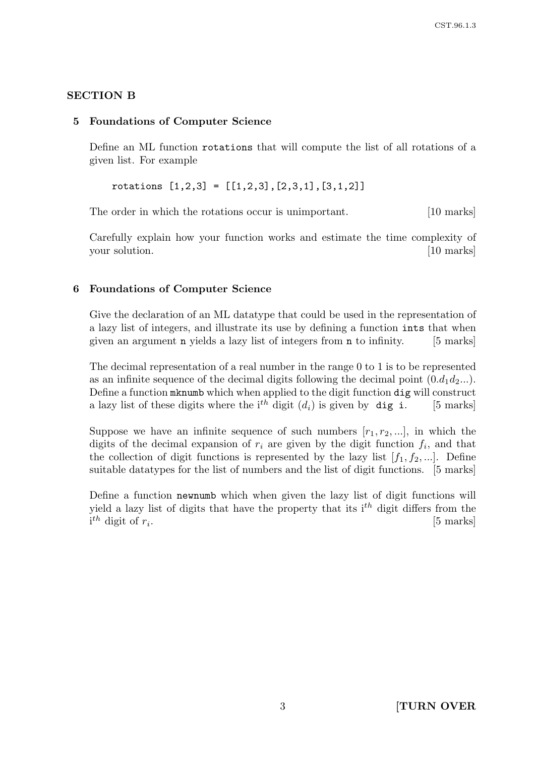# SECTION B

### 5 Foundations of Computer Science

Define an ML function rotations that will compute the list of all rotations of a given list. For example

rotations  $[1,2,3] = [[1,2,3],[2,3,1],[3,1,2]]$ 

The order in which the rotations occur is unimportant. [10 marks]

Carefully explain how your function works and estimate the time complexity of your solution. [10 marks]

## 6 Foundations of Computer Science

Give the declaration of an ML datatype that could be used in the representation of a lazy list of integers, and illustrate its use by defining a function ints that when given an argument n yields a lazy list of integers from n to infinity. [5 marks]

The decimal representation of a real number in the range 0 to 1 is to be represented as an infinite sequence of the decimal digits following the decimal point  $(0.d_1d_2...)$ . Define a function mknumb which when applied to the digit function dig will construct a lazy list of these digits where the i<sup>th</sup> digit  $(d_i)$  is given by **dig i.** [5 marks]

Suppose we have an infinite sequence of such numbers  $[r_1, r_2, \ldots]$ , in which the digits of the decimal expansion of  $r_i$  are given by the digit function  $f_i$ , and that the collection of digit functions is represented by the lazy list  $[f_1, f_2, ...]$ . Define suitable datatypes for the list of numbers and the list of digit functions. [5 marks]

Define a function newnumb which when given the lazy list of digit functions will yield a lazy list of digits that have the property that its  $i<sup>th</sup>$  digit differs from the  $i^{th}$  digit of  $r_i$ . [5 marks]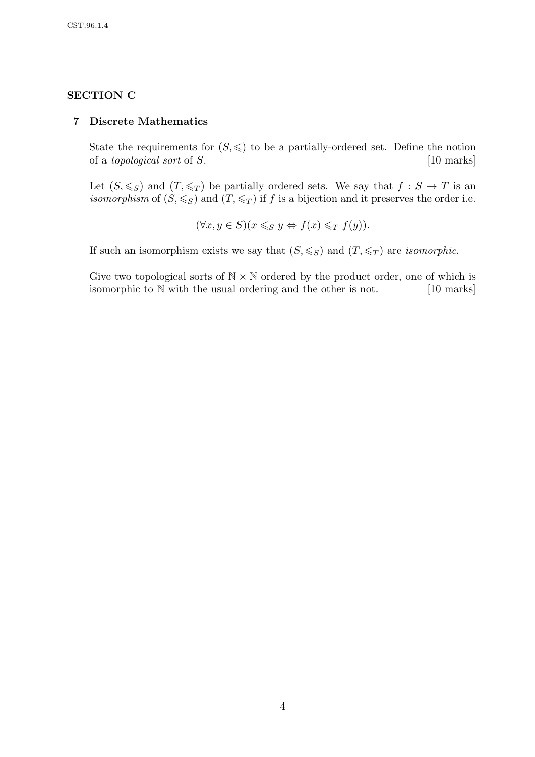## SECTION C

#### 7 Discrete Mathematics

State the requirements for  $(S, \leqslant)$  to be a partially-ordered set. Define the notion of a topological sort of S. [10 marks]

Let  $(S, \leqslant_S)$  and  $(T, \leqslant_T)$  be partially ordered sets. We say that  $f : S \to T$  is an isomorphism of  $(S, \leqslant_S)$  and  $(T, \leqslant_T)$  if f is a bijection and it preserves the order i.e.

$$
(\forall x, y \in S)(x \leq_S y \Leftrightarrow f(x) \leq_T f(y)).
$$

If such an isomorphism exists we say that  $(S, \leqslant_S)$  and  $(T, \leqslant_T)$  are *isomorphic*.

Give two topological sorts of  $N \times N$  ordered by the product order, one of which is isomorphic to N with the usual ordering and the other is not. [10 marks]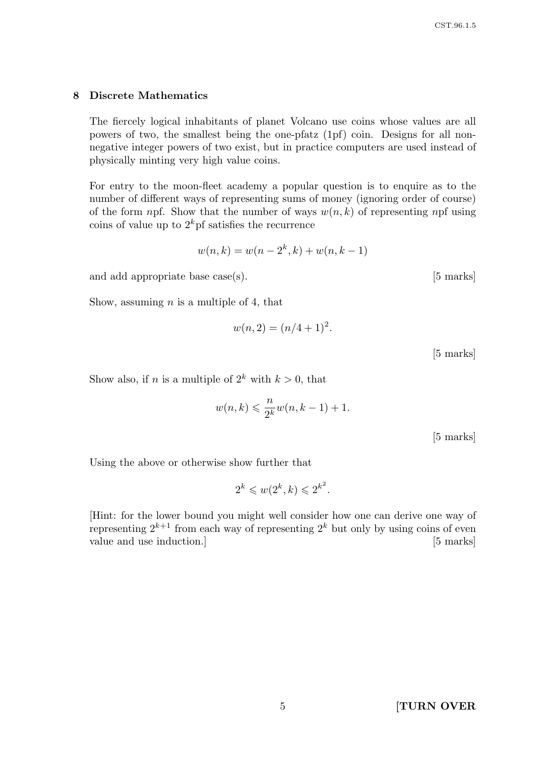#### 8 Discrete Mathematics

The fiercely logical inhabitants of planet Volcano use coins whose values are all powers of two, the smallest being the one-pfatz (1pf) coin. Designs for all nonnegative integer powers of two exist, but in practice computers are used instead of physically minting very high value coins.

For entry to the moon-fleet academy a popular question is to enquire as to the number of different ways of representing sums of money (ignoring order of course) of the form npf. Show that the number of ways  $w(n, k)$  of representing npf using coins of value up to  $2^k$  pf satisfies the recurrence

$$
w(n,k) = w(n - 2k, k) + w(n, k - 1)
$$

and add appropriate base case(s). [5 marks]

Show, assuming  $n$  is a multiple of 4, that

$$
w(n,2) = (n/4+1)^2.
$$

[5 marks]

Show also, if *n* is a multiple of  $2^k$  with  $k > 0$ , that

$$
w(n,k) \leqslant \frac{n}{2^k} w(n,k-1) + 1.
$$

[5 marks]

Using the above or otherwise show further that

$$
2^k \leqslant w(2^k, k) \leqslant 2^{k^2}.
$$

[Hint: for the lower bound you might well consider how one can derive one way of representing  $2^{k+1}$  from each way of representing  $2^k$  but only by using coins of even value and use induction.] [5 marks]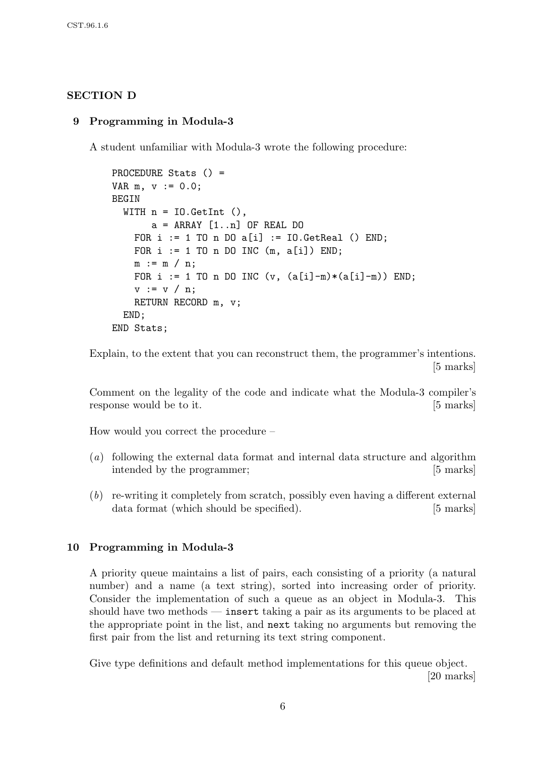## SECTION D

### 9 Programming in Modula-3

A student unfamiliar with Modula-3 wrote the following procedure:

```
PROCEDURE Stats () =
VAR m, v := 0.0;
BEGIN
  WITH n = 10. GetInt ().
       a = ARRAY [1..n] OF REAL DO
    FOR i := 1 TO n DO a[i] := IO.GetReal () END;
    FOR i := 1 TO n DO INC (m, a[i]) END;
    m := m / n;
    FOR i := 1 TO n DO INC (v, (a[i]-m)*(a[i]-m)) END;
    v := v / n;RETURN RECORD m, v;
  END;
END Stats;
```
Explain, to the extent that you can reconstruct them, the programmer's intentions. [5 marks]

Comment on the legality of the code and indicate what the Modula-3 compiler's response would be to it. [5 marks]

How would you correct the procedure –

- (a) following the external data format and internal data structure and algorithm intended by the programmer; [5 marks]
- (b) re-writing it completely from scratch, possibly even having a different external data format (which should be specified). [5 marks]

### 10 Programming in Modula-3

A priority queue maintains a list of pairs, each consisting of a priority (a natural number) and a name (a text string), sorted into increasing order of priority. Consider the implementation of such a queue as an object in Modula-3. This should have two methods — insert taking a pair as its arguments to be placed at the appropriate point in the list, and next taking no arguments but removing the first pair from the list and returning its text string component.

Give type definitions and default method implementations for this queue object. [20 marks]